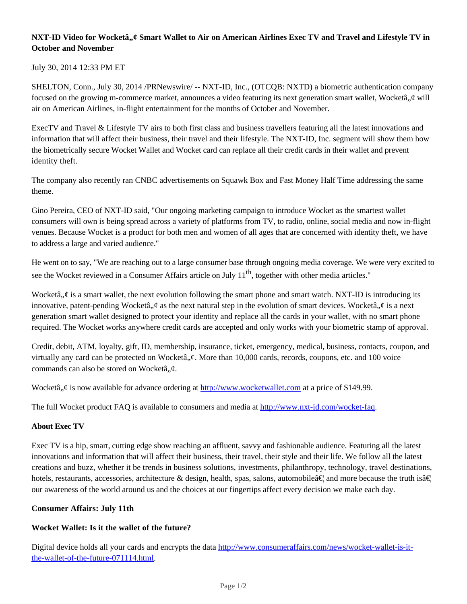## **NXT-ID Video for Wocketâ,,¢ Smart Wallet to Air on American Airlines Exec TV and Travel and Lifestyle TV in October and November**

### July 30, 2014 12:33 PM ET

SHELTON, Conn., July 30, 2014 /PRNewswire/ -- NXT-ID, Inc., (OTCQB: NXTD) a biometric authentication company focused on the growing m-commerce market, announces a video featuring its next generation smart wallet, Wocketâ,  $\phi$  will air on American Airlines, in-flight entertainment for the months of October and November.

ExecTV and Travel & Lifestyle TV airs to both first class and business travellers featuring all the latest innovations and information that will affect their business, their travel and their lifestyle. The NXT-ID, Inc. segment will show them how the biometrically secure Wocket Wallet and Wocket card can replace all their credit cards in their wallet and prevent identity theft.

The company also recently ran CNBC advertisements on Squawk Box and Fast Money Half Time addressing the same theme.

Gino Pereira, CEO of NXT-ID said, "Our ongoing marketing campaign to introduce Wocket as the smartest wallet consumers will own is being spread across a variety of platforms from TV, to radio, online, social media and now in-flight venues. Because Wocket is a product for both men and women of all ages that are concerned with identity theft, we have to address a large and varied audience."

He went on to say, "We are reaching out to a large consumer base through ongoing media coverage. We were very excited to see the Wocket reviewed in a Consumer Affairs article on July 11<sup>th</sup>, together with other media articles."

Wocketâ,  $\phi$  is a smart wallet, the next evolution following the smart phone and smart watch. NXT-ID is introducing its innovative, patent-pending Wocketâ,  $\phi$  as the next natural step in the evolution of smart devices. Wocketâ,  $\phi$  is a next generation smart wallet designed to protect your identity and replace all the cards in your wallet, with no smart phone required. The Wocket works anywhere credit cards are accepted and only works with your biometric stamp of approval.

Credit, debit, ATM, loyalty, gift, ID, membership, insurance, ticket, emergency, medical, business, contacts, coupon, and virtually any card can be protected on Wocketâ,  $\phi$ . More than 10,000 cards, records, coupons, etc. and 100 voice commands can also be stored on Wocketâ, $\phi$ .

Wocketâ,  $\phi$  is now available for advance ordering at http://www.wocketwallet.com at a price of \$149.99.

The full Wocket product FAQ is available to consumers and media at http://www.nxt-id.com/wocket-faq.

#### **About Exec TV**

Exec TV is a hip, smart, cutting edge show reaching an affluent, savvy and fashionable audience. Featuring all the latest innovations and information that will affect their business, their travel, their style and their life. We follow all the latest creations and buzz, whether it be trends in business solutions, investments, philanthropy, technology, travel destinations, hotels, restaurants, accessories, architecture & design, health, spas, salons, automobile  $\hat{\mathbf{a}} \in \mathbb{R}^n$  and more because the truth is  $\hat{\mathbf{a}} \in \mathbb{R}^n$ our awareness of the world around us and the choices at our fingertips affect every decision we make each day.

#### **Consumer Affairs: July 11th**

#### **Wocket Wallet: Is it the wallet of the future?**

Digital device holds all your cards and encrypts the data http://www.consumeraffairs.com/news/wocket-wallet-is-itthe-wallet-of-the-future-071114.html.